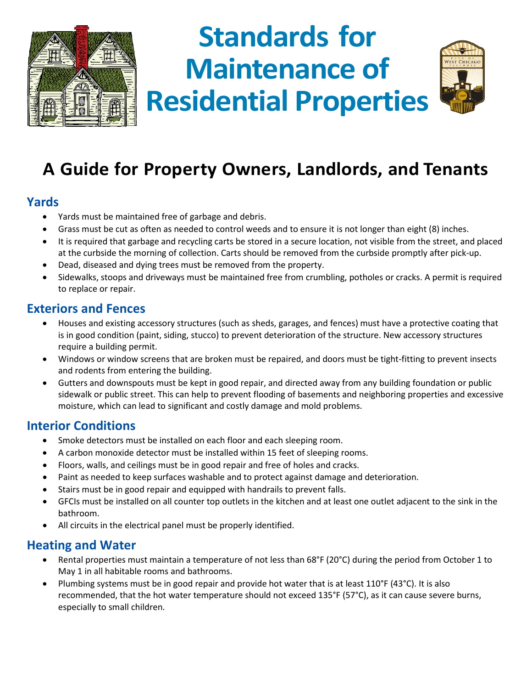

# **Standards for Maintenance of Residential Properties**



# **A Guide for Property Owners, Landlords, and Tenants**

#### **Yards**

- Yards must be maintained free of garbage and debris.
- Grass must be cut as often as needed to control weeds and to ensure it is not longer than eight (8) inches.
- It is required that garbage and recycling carts be stored in a secure location, not visible from the street, and placed at the curbside the morning of collection. Carts should be removed from the curbside promptly after pick-up.
- Dead, diseased and dying trees must be removed from the property.
- Sidewalks, stoops and driveways must be maintained free from crumbling, potholes or cracks. A permit is required to replace or repair.

#### **Exteriors and Fences**

- Houses and existing accessory structures (such as sheds, garages, and fences) must have a protective coating that is in good condition (paint, siding, stucco) to prevent deterioration of the structure. New accessory structures require a building permit.
- Windows or window screens that are broken must be repaired, and doors must be tight-fitting to prevent insects and rodents from entering the building.
- Gutters and downspouts must be kept in good repair, and directed away from any building foundation or public sidewalk or public street. This can help to prevent flooding of basements and neighboring properties and excessive moisture, which can lead to significant and costly damage and mold problems.

# **Interior Conditions**

- Smoke detectors must be installed on each floor and each sleeping room.
- A carbon monoxide detector must be installed within 15 feet of sleeping rooms.
- Floors, walls, and ceilings must be in good repair and free of holes and cracks.
- Paint as needed to keep surfaces washable and to protect against damage and deterioration.
- Stairs must be in good repair and equipped with handrails to prevent falls.
- GFCIs must be installed on all counter top outlets in the kitchen and at least one outlet adjacent to the sink in the bathroom.
- All circuits in the electrical panel must be properly identified.

# **Heating and Water**

- Rental properties must maintain a temperature of not less than 68°F (20°C) during the period from October 1 to May 1 in all habitable rooms and bathrooms.
- Plumbing systems must be in good repair and provide hot water that is at least 110°F (43°C). It is also recommended, that the hot water temperature should not exceed 135°F (57°C), as it can cause severe burns, especially to small children.